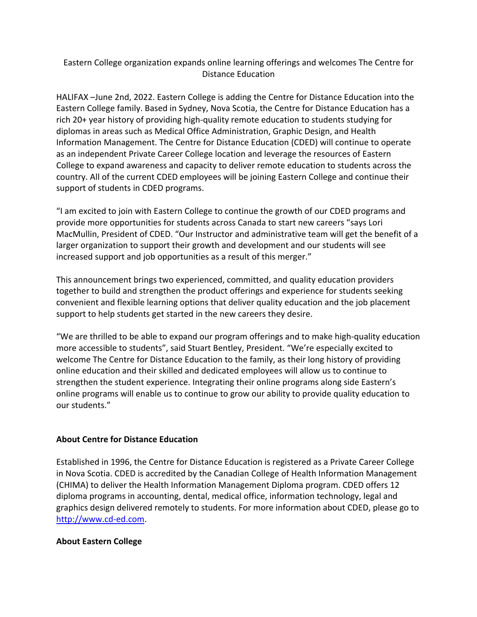## Eastern College organization expands online learning offerings and welcomes The Centre for Distance Education

HALIFAX –June 2nd, 2022. Eastern College is adding the Centre for Distance Education into the Eastern College family. Based in Sydney, Nova Scotia, the Centre for Distance Education has a rich 20+ year history of providing high-quality remote education to students studying for diplomas in areas such as Medical Office Administration, Graphic Design, and Health Information Management. The Centre for Distance Education (CDED) will continue to operate as an independent Private Career College location and leverage the resources of Eastern College to expand awareness and capacity to deliver remote education to students across the country. All of the current CDED employees will be joining Eastern College and continue their support of students in CDED programs.

"I am excited to join with Eastern College to continue the growth of our CDED programs and provide more opportunities for students across Canada to start new careers "says Lori MacMullin, President of CDED. "Our Instructor and administrative team will get the benefit of a larger organization to support their growth and development and our students will see increased support and job opportunities as a result of this merger."

This announcement brings two experienced, committed, and quality education providers together to build and strengthen the product offerings and experience for students seeking convenient and flexible learning options that deliver quality education and the job placement support to help students get started in the new careers they desire.

"We are thrilled to be able to expand our program offerings and to make high-quality education more accessible to students", said Stuart Bentley, President. "We're especially excited to welcome The Centre for Distance Education to the family, as their long history of providing online education and their skilled and dedicated employees will allow us to continue to strengthen the student experience. Integrating their online programs along side Eastern's online programs will enable us to continue to grow our ability to provide quality education to our students."

## **About Centre for Distance Education**

Established in 1996, the Centre for Distance Education is registered as a Private Career College in Nova Scotia. CDED is accredited by the Canadian College of Health Information Management (CHIMA) to deliver the Health Information Management Diploma program. CDED offers 12 diploma programs in accounting, dental, medical office, information technology, legal and graphics design delivered remotely to students. For more information about CDED, please go to http://www.cd-ed.com.

## **About Eastern College**